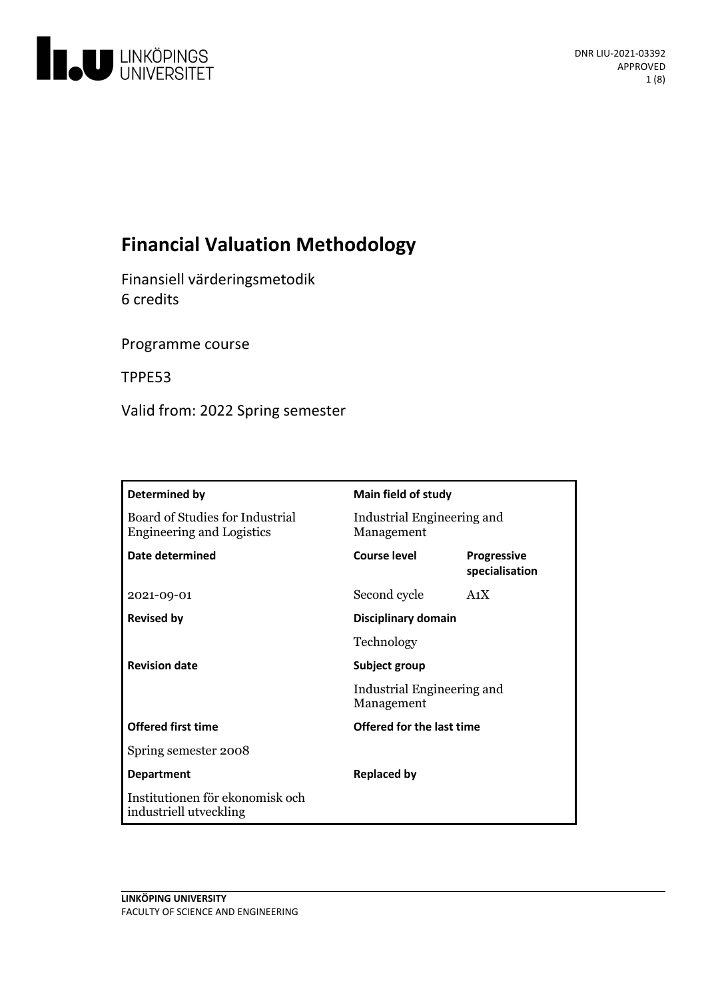

# **Financial Valuation Methodology**

Finansiell värderingsmetodik 6 credits

Programme course

TPPE53

Valid from: 2022 Spring semester

| Determined by                                                       | Main field of study                      |                               |
|---------------------------------------------------------------------|------------------------------------------|-------------------------------|
| Board of Studies for Industrial<br><b>Engineering and Logistics</b> | Industrial Engineering and<br>Management |                               |
| Date determined                                                     | Course level                             | Progressive<br>specialisation |
| 2021-09-01                                                          | Second cycle                             | A <sub>1</sub> X              |
| <b>Revised by</b>                                                   | Disciplinary domain                      |                               |
|                                                                     | Technology                               |                               |
| <b>Revision date</b>                                                | Subject group                            |                               |
|                                                                     | Industrial Engineering and<br>Management |                               |
| <b>Offered first time</b>                                           | Offered for the last time                |                               |
| Spring semester 2008                                                |                                          |                               |
| <b>Department</b>                                                   | <b>Replaced by</b>                       |                               |
| Institutionen för ekonomisk och<br>industriell utveckling           |                                          |                               |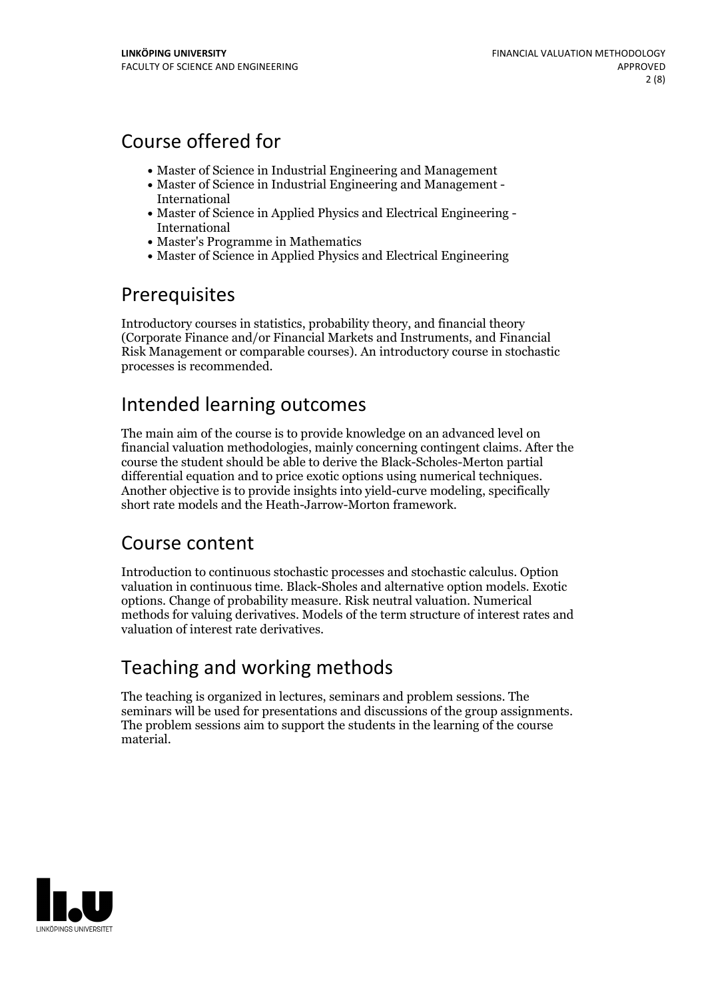## Course offered for

- Master of Science in Industrial Engineering and Management
- Master of Science in Industrial Engineering and Management International
- Master of Science in Applied Physics and Electrical Engineering International
- Master's Programme in Mathematics
- Master of Science in Applied Physics and Electrical Engineering

## Prerequisites

Introductory courses in statistics, probability theory, and financial theory (Corporate Finance and/or Financial Markets and Instruments, and Financial Risk Management or comparable courses). An introductory course in stochastic processes is recommended.

## Intended learning outcomes

The main aim of the course is to provide knowledge on an advanced level on financial valuation methodologies, mainly concerning contingent claims. After the course the student should be able to derive the Black-Scholes-Merton partial differential equation and to price exotic options using numerical techniques. Another objective is to provide insights into yield-curve modeling, specifically short rate models and the Heath-Jarrow-Morton framework.

## Course content

Introduction to continuous stochastic processes and stochastic calculus. Option valuation in continuous time. Black-Sholes and alternative option models. Exotic options. Change of probability measure. Risk neutral valuation. Numerical methods for valuing derivatives. Models of the term structure ofinterest rates and valuation of interest rate derivatives.

# Teaching and working methods

The teaching is organized in lectures, seminars and problem sessions. The seminars will be used for presentations and discussions of the group assignments. The problem sessions aim to support the students in the learning of the course material.

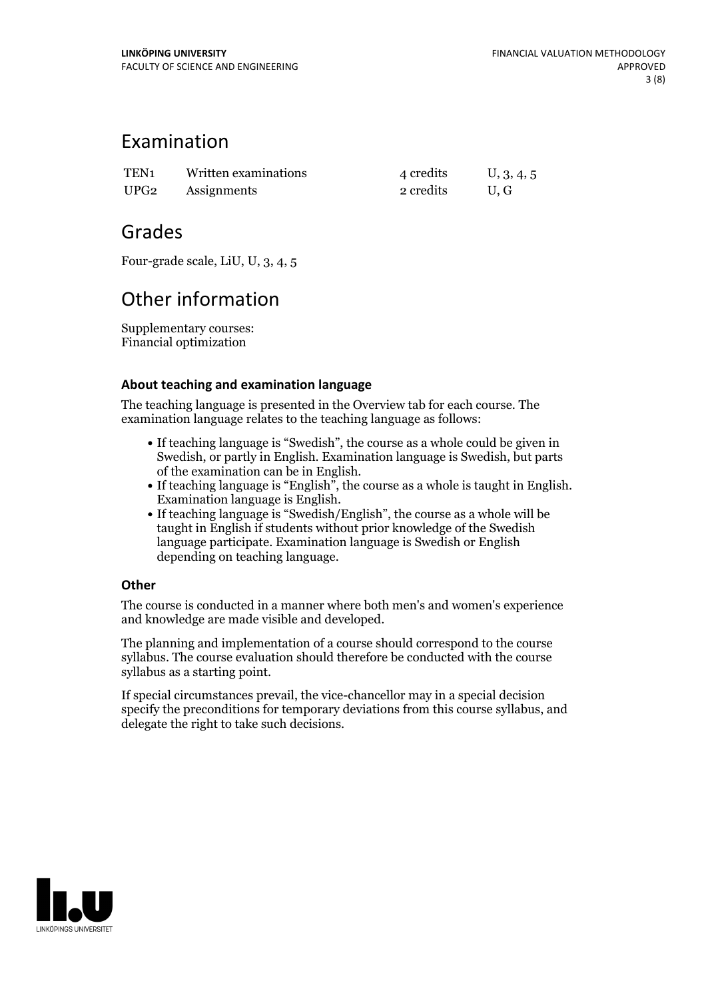## Examination

| TEN <sub>1</sub> | Written examinations | 4 credits | U, 3, 4, 5 |
|------------------|----------------------|-----------|------------|
| UPG <sub>2</sub> | Assignments          | 2 credits | U.G        |

## Grades

Four-grade scale, LiU, U, 3, 4, 5

# Other information

Supplementary courses: Financial optimization

### **About teaching and examination language**

The teaching language is presented in the Overview tab for each course. The examination language relates to the teaching language as follows:

- If teaching language is "Swedish", the course as a whole could be given in Swedish, or partly in English. Examination language is Swedish, but parts
- of the examination can be in English. If teaching language is "English", the course as <sup>a</sup> whole is taught in English. Examination language is English. If teaching language is "Swedish/English", the course as <sup>a</sup> whole will be
- taught in English if students without prior knowledge of the Swedish language participate. Examination language is Swedish or English depending on teaching language.

### **Other**

The course is conducted in a manner where both men's and women's experience and knowledge are made visible and developed.

The planning and implementation of a course should correspond to the course syllabus. The course evaluation should therefore be conducted with the course syllabus as a starting point.

If special circumstances prevail, the vice-chancellor may in a special decision specify the preconditions for temporary deviations from this course syllabus, and delegate the right to take such decisions.

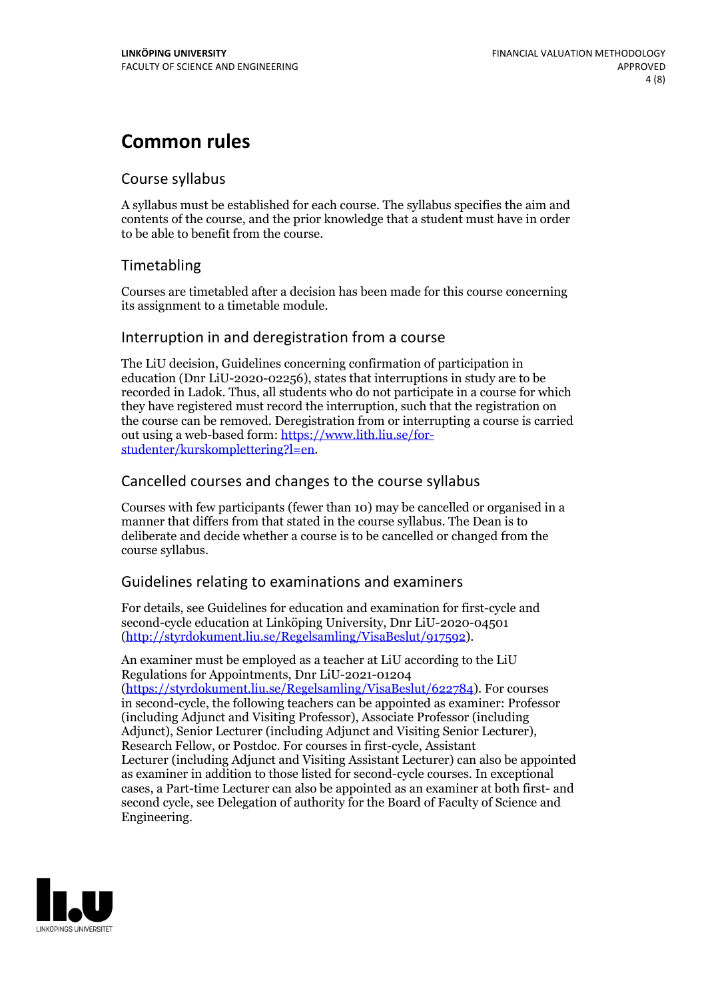## **Common rules**

### Course syllabus

A syllabus must be established for each course. The syllabus specifies the aim and contents of the course, and the prior knowledge that a student must have in order to be able to benefit from the course.

## Timetabling

Courses are timetabled after a decision has been made for this course concerning its assignment to a timetable module.

### Interruption in and deregistration from a course

The LiU decision, Guidelines concerning confirmation of participation in education (Dnr LiU-2020-02256), states that interruptions in study are to be recorded in Ladok. Thus, all students who do not participate in a course for which they have registered must record the interruption, such that the registration on the course can be removed. Deregistration from or interrupting a course is carried out using <sup>a</sup> web-based form: https://www.lith.liu.se/for- [studenter/kurskomplettering?l=en.](https://www.lith.liu.se/for-studenter/kurskomplettering?l=en)

## Cancelled courses and changes to the course syllabus

Courses with few participants (fewer than 10) may be cancelled or organised in a manner that differs from that stated in the course syllabus. The Dean is to deliberate and decide whether a course is to be cancelled or changed from the course syllabus.

## Guidelines relating to examinations and examiners

For details, see Guidelines for education and examination for first-cycle and second-cycle education at Linköping University, Dnr LiU-2020-04501 [\(http://styrdokument.liu.se/Regelsamling/VisaBeslut/917592\)](http://styrdokument.liu.se/Regelsamling/VisaBeslut/917592).

An examiner must be employed as a teacher at LiU according to the LiU Regulations for Appointments, Dnr LiU-2021-01204 [\(https://styrdokument.liu.se/Regelsamling/VisaBeslut/622784](https://styrdokument.liu.se/Regelsamling/VisaBeslut/622784)). For courses in second-cycle, the following teachers can be appointed as examiner: Professor (including Adjunct and Visiting Professor), Associate Professor (including Adjunct), Senior Lecturer (including Adjunct and Visiting Senior Lecturer), Research Fellow, or Postdoc. For courses in first-cycle, Assistant Lecturer (including Adjunct and Visiting Assistant Lecturer) can also be appointed as examiner in addition to those listed for second-cycle courses. In exceptional cases, a Part-time Lecturer can also be appointed as an examiner at both first- and second cycle, see Delegation of authority for the Board of Faculty of Science and Engineering.

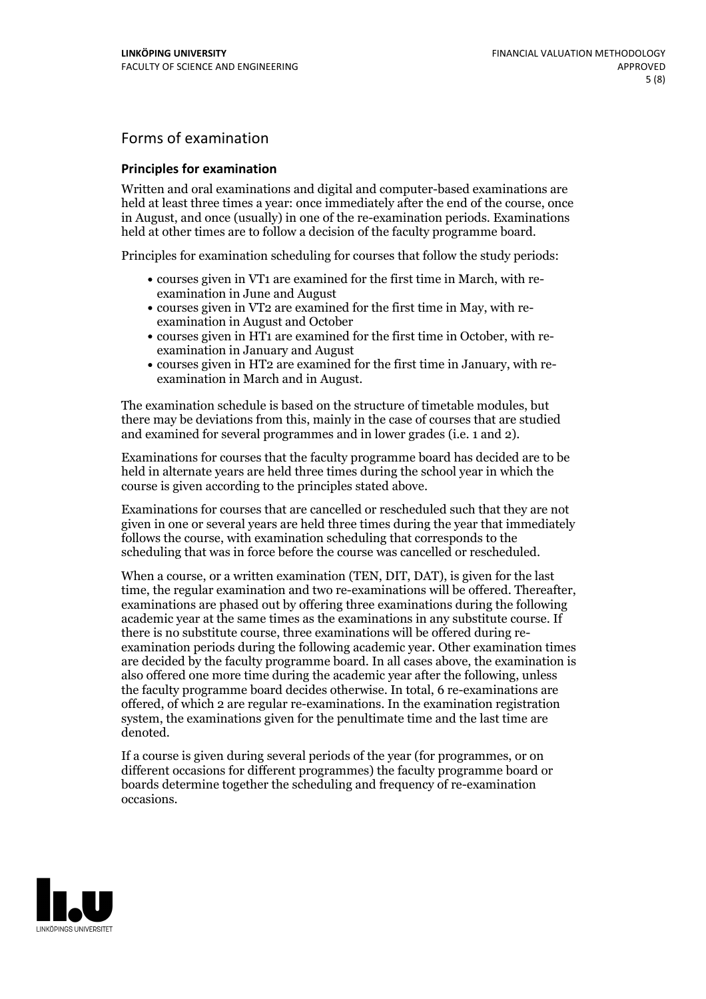## Forms of examination

#### **Principles for examination**

Written and oral examinations and digital and computer-based examinations are held at least three times a year: once immediately after the end of the course, once in August, and once (usually) in one of the re-examination periods. Examinations held at other times are to follow a decision of the faculty programme board.

Principles for examination scheduling for courses that follow the study periods:

- courses given in VT1 are examined for the first time in March, with re-examination in June and August
- courses given in VT2 are examined for the first time in May, with re-examination in August and October
- courses given in HT1 are examined for the first time in October, with re-examination in January and August
- courses given in HT2 are examined for the first time in January, with re-examination in March and in August.

The examination schedule is based on the structure of timetable modules, but there may be deviations from this, mainly in the case of courses that are studied and examined for several programmes and in lower grades (i.e. 1 and 2).

Examinations for courses that the faculty programme board has decided are to be held in alternate years are held three times during the school year in which the course is given according to the principles stated above.

Examinations for courses that are cancelled orrescheduled such that they are not given in one or several years are held three times during the year that immediately follows the course, with examination scheduling that corresponds to the scheduling that was in force before the course was cancelled or rescheduled.

When a course, or a written examination (TEN, DIT, DAT), is given for the last time, the regular examination and two re-examinations will be offered. Thereafter, examinations are phased out by offering three examinations during the following academic year at the same times as the examinations in any substitute course. If there is no substitute course, three examinations will be offered during re- examination periods during the following academic year. Other examination times are decided by the faculty programme board. In all cases above, the examination is also offered one more time during the academic year after the following, unless the faculty programme board decides otherwise. In total, 6 re-examinations are offered, of which 2 are regular re-examinations. In the examination registration system, the examinations given for the penultimate time and the last time are denoted.

If a course is given during several periods of the year (for programmes, or on different occasions for different programmes) the faculty programme board or boards determine together the scheduling and frequency of re-examination occasions.

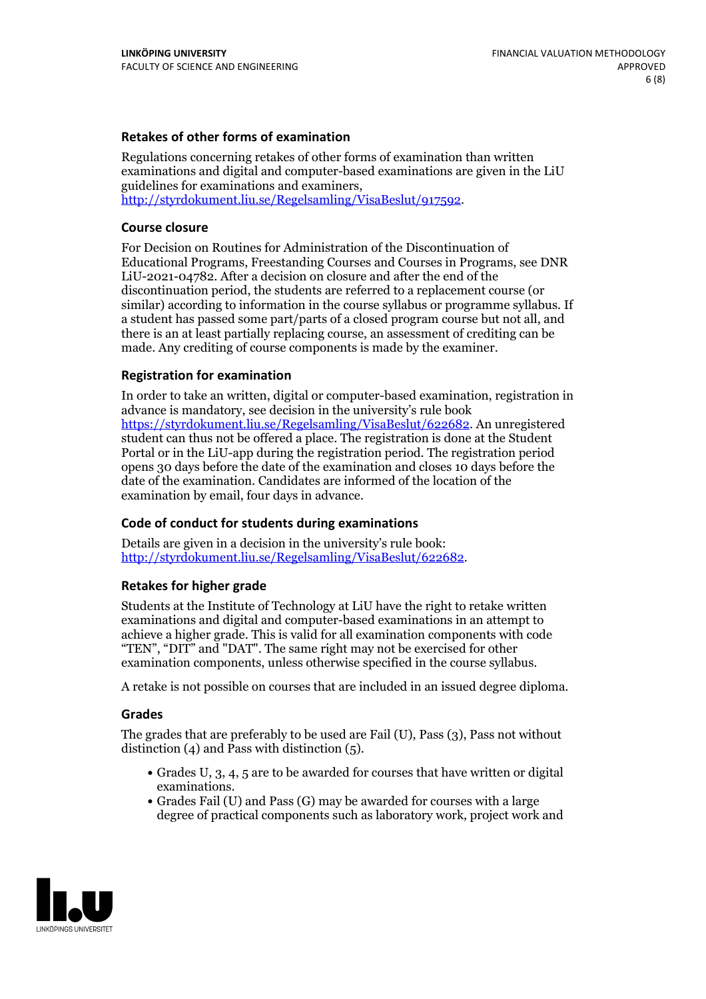#### **Retakes of other forms of examination**

Regulations concerning retakes of other forms of examination than written examinations and digital and computer-based examinations are given in the LiU guidelines for examinations and examiners, [http://styrdokument.liu.se/Regelsamling/VisaBeslut/917592.](http://styrdokument.liu.se/Regelsamling/VisaBeslut/917592)

#### **Course closure**

For Decision on Routines for Administration of the Discontinuation of Educational Programs, Freestanding Courses and Courses in Programs, see DNR LiU-2021-04782. After a decision on closure and after the end of the discontinuation period, the students are referred to a replacement course (or similar) according to information in the course syllabus or programme syllabus. If a student has passed some part/parts of a closed program course but not all, and there is an at least partially replacing course, an assessment of crediting can be made. Any crediting of course components is made by the examiner.

#### **Registration for examination**

In order to take an written, digital or computer-based examination, registration in advance is mandatory, see decision in the university's rule book [https://styrdokument.liu.se/Regelsamling/VisaBeslut/622682.](https://styrdokument.liu.se/Regelsamling/VisaBeslut/622682) An unregistered student can thus not be offered a place. The registration is done at the Student Portal or in the LiU-app during the registration period. The registration period opens 30 days before the date of the examination and closes 10 days before the date of the examination. Candidates are informed of the location of the examination by email, four days in advance.

#### **Code of conduct for students during examinations**

Details are given in a decision in the university's rule book: <http://styrdokument.liu.se/Regelsamling/VisaBeslut/622682>.

#### **Retakes for higher grade**

Students at the Institute of Technology at LiU have the right to retake written examinations and digital and computer-based examinations in an attempt to achieve a higher grade. This is valid for all examination components with code "TEN", "DIT" and "DAT". The same right may not be exercised for other examination components, unless otherwise specified in the course syllabus.

A retake is not possible on courses that are included in an issued degree diploma.

#### **Grades**

The grades that are preferably to be used are Fail (U), Pass (3), Pass not without distinction  $(4)$  and Pass with distinction  $(5)$ .

- Grades U, 3, 4, 5 are to be awarded for courses that have written or digital examinations.<br>• Grades Fail (U) and Pass (G) may be awarded for courses with a large
- degree of practical components such as laboratory work, project work and

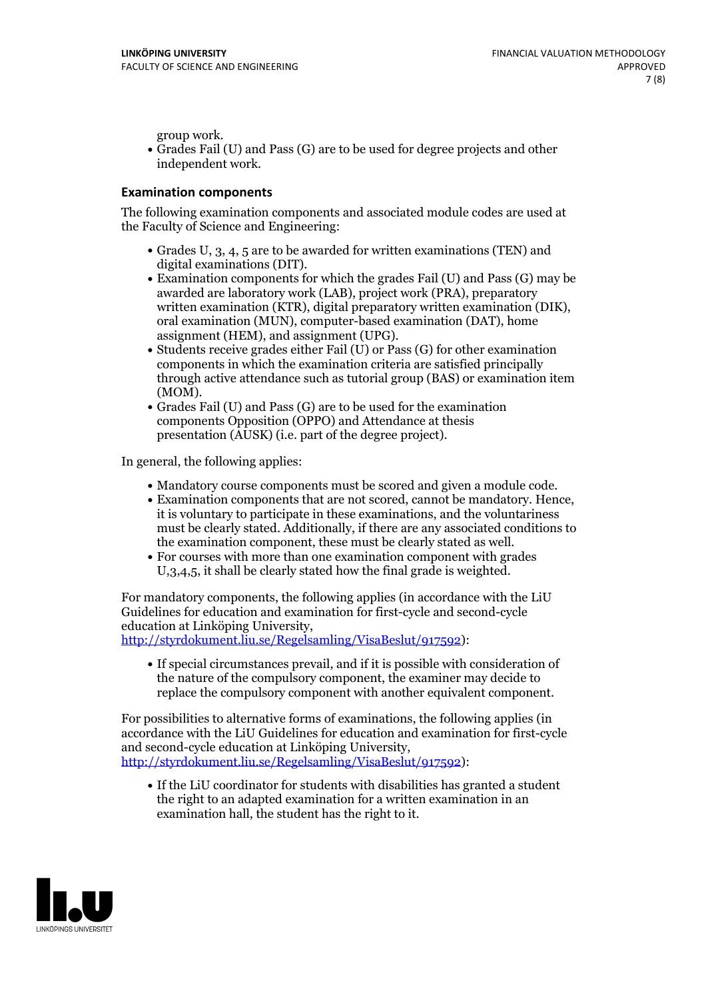group work.<br>• Grades Fail (U) and Pass (G) are to be used for degree projects and other independent work.

### **Examination components**

The following examination components and associated module codes are used at the Faculty of Science and Engineering:

- Grades U, 3, 4, 5 are to be awarded for written examinations (TEN) and
- digital examinations (DIT).<br>• Examination components for which the grades Fail (U) and Pass (G) may be awarded are laboratory work (LAB), project work (PRA), preparatory written examination (KTR), digital preparatory written examination (DIK), oral examination (MUN), computer-based examination (DAT), home
- assignment (HEM), and assignment (UPG).<br>• Students receive grades either Fail (U) or Pass (G) for other examination components in which the examination criteria are satisfied principally through active attendance such as tutorial group (BAS) or examination item
- (MOM).<br>• Grades Fail (U) and Pass (G) are to be used for the examination components Opposition (OPPO) and Attendance at thesis presentation (AUSK) (i.e. part of the degree project).

In general, the following applies:

- 
- Mandatory course components must be scored and given <sup>a</sup> module code. Examination components that are not scored, cannot be mandatory. Hence, it is voluntary to participate in these examinations, and the voluntariness must be clearly stated. Additionally, if there are any associated conditions to
- the examination component, these must be clearly stated as well.<br>• For courses with more than one examination component with grades U,3,4,5, it shall be clearly stated how the final grade is weighted.

For mandatory components, the following applies (in accordance with the LiU Guidelines for education and examination for first-cycle and second-cycle education at Linköping University,<br>[http://styrdokument.liu.se/Regelsamling/VisaBeslut/917592\)](http://styrdokument.liu.se/Regelsamling/VisaBeslut/917592):

If special circumstances prevail, and if it is possible with consideration of the nature of the compulsory component, the examiner may decide to replace the compulsory component with another equivalent component.

For possibilities to alternative forms of examinations, the following applies (in accordance with the LiU Guidelines for education and examination for first-cycle [http://styrdokument.liu.se/Regelsamling/VisaBeslut/917592\)](http://styrdokument.liu.se/Regelsamling/VisaBeslut/917592):

If the LiU coordinator for students with disabilities has granted a student the right to an adapted examination for a written examination in an examination hall, the student has the right to it.